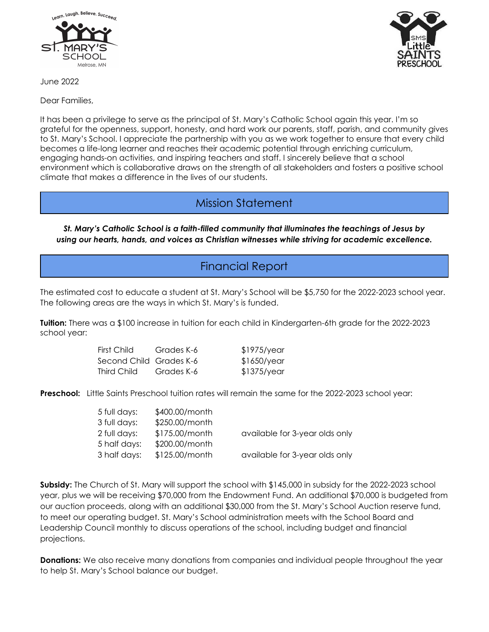

June 2022

Dear Families,

It has been a privilege to serve as the principal of St. Mary's Catholic School again this year. I'm so grateful for the openness, support, honesty, and hard work our parents, staff, parish, and community gives to St. Mary's School. I appreciate the partnership with you as we work together to ensure that every child becomes a life-long learner and reaches their academic potential through enriching curriculum, engaging hands-on activities, and inspiring teachers and staff. I sincerely believe that a school environment which is collaborative draws on the strength of all stakeholders and fosters a positive school climate that makes a difference in the lives of our students.

# Mission Statement

*St. Mary's Catholic School is a faith-filled community that illuminates the teachings of Jesus by using our hearts, hands, and voices as Christian witnesses while striving for academic excellence.*

# Financial Report

The estimated cost to educate a student at St. Mary's School will be \$5,750 for the 2022-2023 school year. The following areas are the ways in which St. Mary's is funded.

**Tuition:** There was a \$100 increase in tuition for each child in Kindergarten-6th grade for the 2022-2023 school year:

| First Child             | Grades K-6 | $$1975$ /year |
|-------------------------|------------|---------------|
| Second Child Grades K-6 |            | \$1650/year   |
| Third Child             | Grades K-6 | $$1375$ /year |

**Preschool:** Little Saints Preschool tuition rates will remain the same for the 2022-2023 school year:

| 5 full days: | \$400.00/month   |                                |
|--------------|------------------|--------------------------------|
| 3 full days: | \$250.00/month   |                                |
| 2 full days: | \$175.00/month   | available for 3-year olds only |
| 5 half days: | \$200.00/month   |                                |
| 3 half days: | $$125.00/m$ onth | available for 3-year olds only |
|              |                  |                                |

**Subsidy:** The Church of St. Mary will support the school with \$145,000 in subsidy for the 2022-2023 school year, plus we will be receiving \$70,000 from the Endowment Fund. An additional \$70,000 is budgeted from our auction proceeds, along with an additional \$30,000 from the St. Mary's School Auction reserve fund, to meet our operating budget. St. Mary's School administration meets with the School Board and Leadership Council monthly to discuss operations of the school, including budget and financial projections.

**Donations:** We also receive many donations from companies and individual people throughout the year to help St. Mary's School balance our budget.

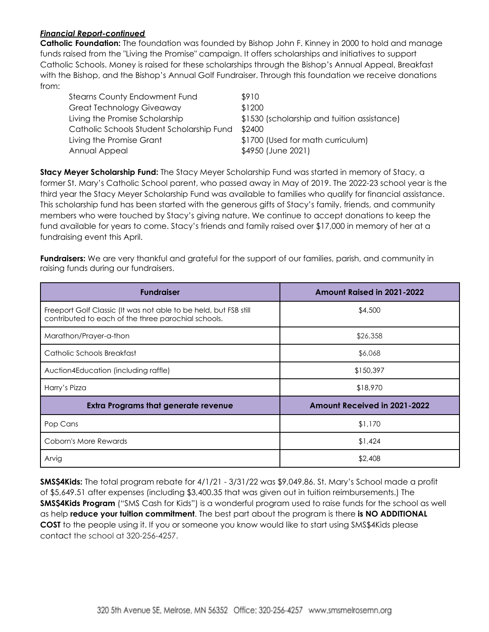#### *Financial Report-continued*

**Catholic Foundation:** The foundation was founded by Bishop John F. Kinney in 2000 to hold and manage funds raised from the "Living the Promise" campaign. It offers scholarships and initiatives to support Catholic Schools. Money is raised for these scholarships through the Bishop's Annual Appeal, Breakfast with the Bishop, and the Bishop's Annual Golf Fundraiser. Through this foundation we receive donations from:

| <b>Stearns County Endowment Fund</b>      | \$910                                       |
|-------------------------------------------|---------------------------------------------|
| <b>Great Technology Giveaway</b>          | \$1200                                      |
| Living the Promise Scholarship            | \$1530 (scholarship and tuition assistance) |
| Catholic Schools Student Scholarship Fund | \$2400                                      |
| Living the Promise Grant                  | \$1700 (Used for math curriculum)           |
| Annual Appeal                             | \$4950 (June 2021)                          |

**Stacy Meyer Scholarship Fund:** The Stacy Meyer Scholarship Fund was started in memory of Stacy, a former St. Mary's Catholic School parent, who passed away in May of 2019. The 2022-23 school year is the third year the Stacy Meyer Scholarship Fund was available to families who qualify for financial assistance. This scholarship fund has been started with the generous gifts of Stacy's family, friends, and community members who were touched by Stacy's giving nature. We continue to accept donations to keep the fund available for years to come. Stacy's friends and family raised over \$17,000 in memory of her at a fundraising event this April.

**Fundraisers:** We are very thankful and grateful for the support of our families, parish, and community in raising funds during our fundraisers.

| <b>Fundraiser</b>                                                                                                       | <b>Amount Raised in 2021-2022</b>   |
|-------------------------------------------------------------------------------------------------------------------------|-------------------------------------|
| Freeport Golf Classic (It was not able to be held, but FSB still<br>contributed to each of the three parochial schools. | \$4,500                             |
| Marathon/Prayer-a-thon                                                                                                  | \$26,358                            |
| Catholic Schools Breakfast                                                                                              | \$6,068                             |
| Auction4Education (including raffle)                                                                                    | \$150,397                           |
| Harry's Pizza                                                                                                           | \$18,970                            |
| <b>Extra Programs that generate revenue</b>                                                                             | <b>Amount Received in 2021-2022</b> |
| Pop Cans                                                                                                                | \$1,170                             |
| Coborn's More Rewards                                                                                                   | \$1,424                             |
| Arvig                                                                                                                   | \$2,408                             |

**SMS\$4Kids:** The total program rebate for 4/1/21 - 3/31/22 was \$9,049.86. St. Mary's School made a profit of \$5,649.51 after expenses (including \$3,400.35 that was given out in tuition reimbursements.) The **SMS\$4Kids Program** ("SMS Cash for Kids") is a wonderful program used to raise funds for the school as well as help **reduce your tuition commitment**. The best part about the program is there **is NO ADDITIONAL COST** to the people using it. If you or someone you know would like to start using SMS\$4Kids please contact the school at 320-256-4257.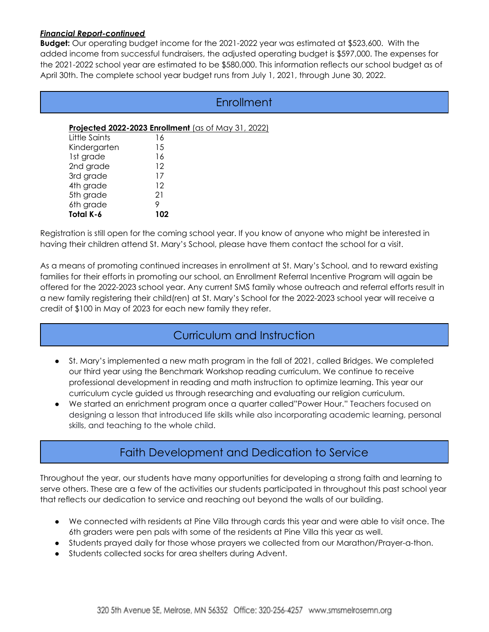#### *Financial Report-continued*

**Budget:** Our operating budget income for the 2021-2022 year was estimated at \$523,600. With the added income from successful fundraisers, the adjusted operating budget is \$597,000. The expenses for the 2021-2022 school year are estimated to be \$580,000. This information reflects our school budget as of April 30th. The complete school year budget runs from July 1, 2021, through June 30, 2022.

|               | Enrollment                                          |  |
|---------------|-----------------------------------------------------|--|
|               | Projected 2022-2023 Enrollment (as of May 31, 2022) |  |
| Little Saints | 16                                                  |  |
| Kindergarten  | 15                                                  |  |
| 1st grade     | 16                                                  |  |
| 2nd grade     | 12                                                  |  |
| 3rd grade     | 17                                                  |  |
| 4th grade     | 12                                                  |  |
| 5th grade     | 21                                                  |  |
| 6th grade     | 9                                                   |  |
| Total K-6     | 102                                                 |  |

Registration is still open for the coming school year. If you know of anyone who might be interested in having their children attend St. Mary's School, please have them contact the school for a visit.

As a means of promoting continued increases in enrollment at St. Mary's School, and to reward existing families for their efforts in promoting our school, an Enrollment Referral Incentive Program will again be offered for the 2022-2023 school year. Any current SMS family whose outreach and referral efforts result in a new family registering their child(ren) at St. Mary's School for the 2022-2023 school year will receive a credit of \$100 in May of 2023 for each new family they refer.

# Curriculum and Instruction

- St. Mary's implemented a new math program in the fall of 2021, called Bridges. We completed our third year using the Benchmark Workshop reading curriculum. We continue to receive professional development in reading and math instruction to optimize learning. This year our curriculum cycle guided us through researching and evaluating our religion curriculum.
- We started an enrichment program once a quarter called"Power Hour." Teachers focused on designing a lesson that introduced life skills while also incorporating academic learning, personal skills, and teaching to the whole child.

# Faith Development and Dedication to Service

Throughout the year, our students have many opportunities for developing a strong faith and learning to serve others. These are a few of the activities our students participated in throughout this past school year that reflects our dedication to service and reaching out beyond the walls of our building.

- We connected with residents at Pine Villa through cards this year and were able to visit once. The 6th graders were pen pals with some of the residents at Pine Villa this year as well.
- Students prayed daily for those whose prayers we collected from our Marathon/Prayer-a-thon.
- Students collected socks for area shelters during Advent.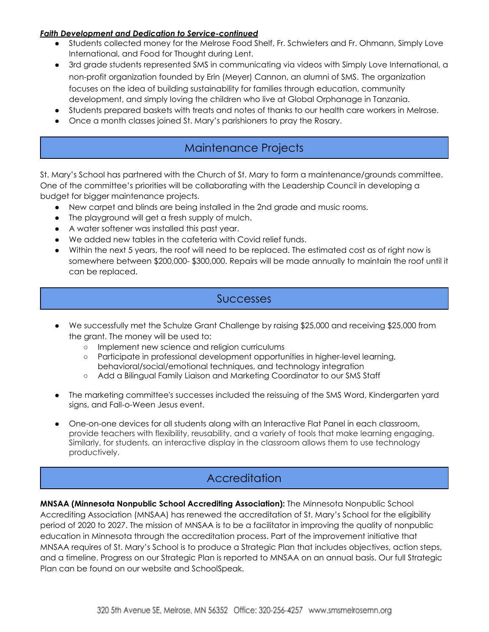#### *Faith Development and Dedication to Service-continued*

- Students collected money for the Melrose Food Shelf, Fr. Schwieters and Fr. Ohmann, Simply Love International, and Food for Thought during Lent.
- 3rd grade students represented SMS in communicating via videos with Simply Love International, a non-profit organization founded by Erin (Meyer) Cannon, an alumni of SMS. The organization focuses on the idea of building sustainability for families through education, community development, and simply loving the children who live at Global Orphanage in Tanzania.
- Students prepared baskets with treats and notes of thanks to our health care workers in Melrose.
- Once a month classes joined St. Mary's parishioners to pray the Rosary.

# Maintenance Projects

St. Mary's School has partnered with the Church of St. Mary to form a maintenance/grounds committee. One of the committee's priorities will be collaborating with the Leadership Council in developing a budget for bigger maintenance projects.

- New carpet and blinds are being installed in the 2nd grade and music rooms.
- The playground will get a fresh supply of mulch.
- A water softener was installed this past year.
- We added new tables in the cafeteria with Covid relief funds.
- Within the next 5 years, the roof will need to be replaced. The estimated cost as of right now is somewhere between \$200,000- \$300,000. Repairs will be made annually to maintain the roof until it can be replaced.

### Successes

- We successfully met the Schulze Grant Challenge by raising \$25,000 and receiving \$25,000 from the grant. The money will be used to:
	- Implement new science and religion curriculums
	- Participate in professional development opportunities in higher-level learning, behavioral/social/emotional techniques, and technology integration
	- Add a Bilingual Family Liaison and Marketing Coordinator to our SMS Staff
- The marketing committee's successes included the reissuing of the SMS Word, Kindergarten yard signs, and Fall-o-Ween Jesus event.
- One-on-one devices for all students along with an Interactive Flat Panel in each classroom, provide teachers with flexibility, reusability, and a variety of tools that make learning engaging. Similarly, for students, an interactive display in the classroom allows them to use technology productively.

# **Accreditation**

**MNSAA (Minnesota Nonpublic School Accrediting Association):** The Minnesota Nonpublic School Accrediting Association (MNSAA) has renewed the accreditation of St. Mary's School for the eligibility period of 2020 to 2027. The mission of MNSAA is to be a facilitator in improving the quality of nonpublic education in Minnesota through the accreditation process. Part of the improvement initiative that MNSAA requires of St. Mary's School is to produce a Strategic Plan that includes objectives, action steps, and a timeline. Progress on our Strategic Plan is reported to MNSAA on an annual basis. Our full Strategic Plan can be found on our website and SchoolSpeak.